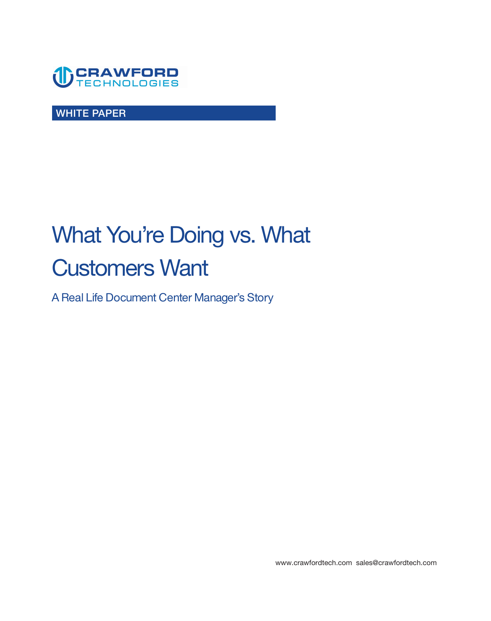

**WHITE PAPER** 

# **What You're Doing vs. What Customers Want**

**A Real Life Document Center Manager's Story** 

**<www.crawfordtech.com>[sales@crawfordtech.com](mailto:sales@crawfordtech.com)**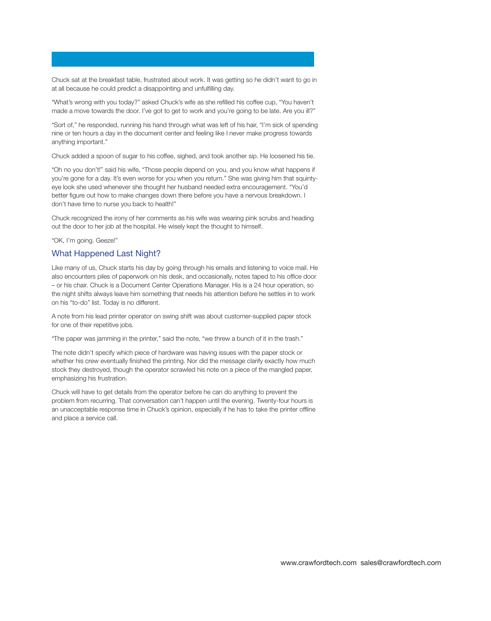**Chuck sat at the breakfast table, frustrated about work. It was getting so he didn't want to go in at all because he could predict a disappointing and unfulfilling day.** 

**"What's wrong with you today?" asked Chuck's wife as she refilled his coffee cup, "You haven't made a move towards the door. I've got to get to work and you're going to be late. Are you ill?"** 

**"Sort of," he responded, running his hand through what was left of his hair, "I'm sick of spending nine or ten hours a day in the document center and feeling like I never make progress towards anything important."** 

**Chuck added a spoon of sugar to his coffee, sighed, and took another sip. He loosened his tie.** 

**"Oh no you don't!" said his wife, "Those people depend on you, and you know what happens if you're gone for a day. It's even worse for you when you return." She was giving him that squintyeye look she used whenever she thought her husband needed extra encouragement. "You'd better figure out how to make changes down there before you have a nervous breakdown. I don't have time to nurse you back to health!"** 

**Chuck recognized the irony of her comments as his wife was wearing pink scrubs and heading out the door to her job at the hospital. He wisely kept the thought to himself.** 

**"OK, I'm going. Geeze!"** 

#### **What Happened Last Night?**

**Like many of us, Chuck starts his day by going through his emails and listening to voice mail. He also encounters piles of paperwork on his desk, and occasionally, notes taped to his office door – or his chair. Chuck is a Document Center Operations Manager. His is a 24 hour operation, so the night shifts always leave him something that needs his attention before he settles in to work on his "to-do" list. Today is no different.**

**A note from his lead printer operator on swing shift was about customer-supplied paper stock for one of their repetitive jobs.** 

**"The paper was jamming in the printer," said the note, "we threw a bunch of it in the trash."** 

**The note didn't specify which piece of hardware was having issues with the paper stock or whether his crew eventually finished the printing. Nor did the message clarify exactly how much stock they destroyed, though the operator scrawled his note on a piece of the mangled paper, emphasizing his frustration.** 

**Chuck will have to get details from the operator before he can do anything to prevent the problem from recurring. That conversation can't happen until the evening. Twenty-four hours is an unacceptable response time in Chuck's opinion, especially if he has to take the printer offline and place a service call.**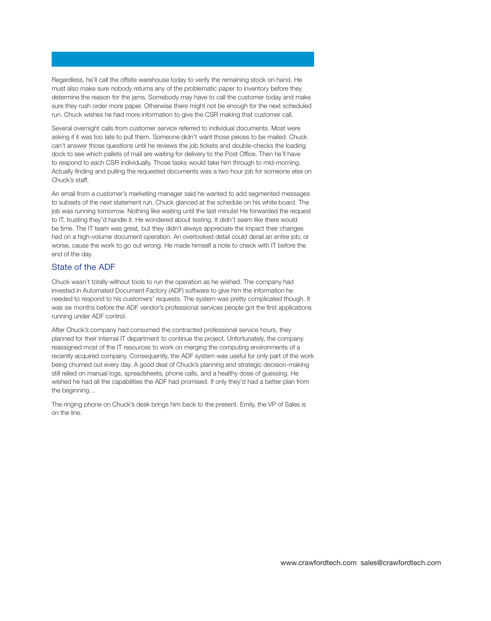**Regardless, he'll call the offsite warehouse today to verify the remaining stock on hand. He must also make sure nobody returns any of the problematic paper to inventory before they determine the reason for the jams. Somebody may have to call the customer today and make sure they rush order more paper. Otherwise there might not be enough for the next scheduled run. Chuck wishes he had more information to give the CSR making that customer call.** 

**Several overnight calls from customer service referred to individual documents. Most were asking if it was too late to pull them. Someone didn't want those pieces to be mailed. Chuck can't answer those questions until he reviews the job tickets and double-checks the loading dock to see which pallets of mail are waiting for delivery to the Post Office. Then he'll have to respond to each CSR individually. Those tasks would take him through to mid-morning. Actually finding and pulling the requested documents was a two hour job for someone else on Chuck's staff.** 

**An email from a customer's marketing manager said he wanted to add segmented messages to subsets of the next statement run. Chuck glanced at the schedule on his white board. The job was running tomorrow. Nothing like waiting until the last minute! He forwarded the request to IT, trusting they'd handle it. He wondered about testing. It didn't seem like there would be time. The IT team was great, but they didn't always appreciate the impact their changes had on a high-volume document operation. An overlooked detail could derail an entire job; or worse, cause the work to go out wrong. He made himself a note to check with IT before the end of the day.** 

#### **State of the ADF**

**Chuck wasn't totally without tools to run the operation as he wished. The company had invested in Automated Document Factory (ADF) software to give him the information he needed to respond to his customers' requests. The system was pretty complicated though. It was six months before the ADF vendor's professional services people got the first applications running under ADF control.** 

**After Chuck's company had consumed the contracted professional service hours, they planned for their internal IT department to continue the project. Unfortunately, the company reassigned most of the IT resources to work on merging the computing environments of a recently acquired company. Consequently, the ADF system was useful for only part of the work being churned out every day. A good deal of Chuck's planning and strategic decision-making still relied on manual logs, spreadsheets, phone calls, and a healthy dose of guessing. He wished he had all the capabilities the ADF had promised. If only they'd had a better plan from the beginning…** 

**The ringing phone on Chuck's desk brings him back to the present. Emily, the VP of Sales is on the line.**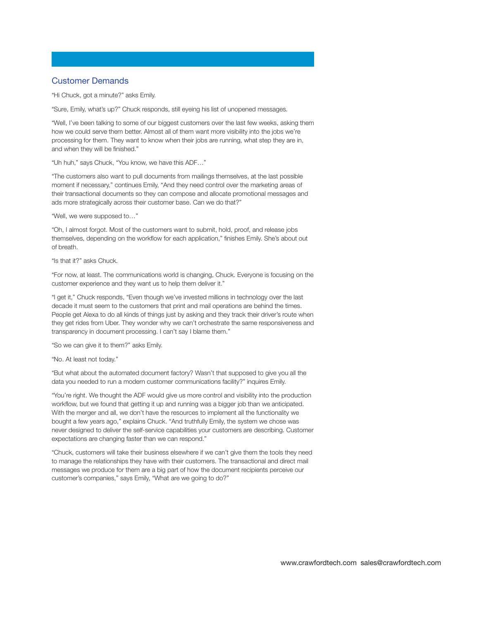#### **Customer Demands**

**"Hi Chuck, got a minute?" asks Emily.** 

**"Sure, Emily, what's up?" Chuck responds, still eyeing his list of unopened messages.** 

**"Well, I've been talking to some of our biggest customers over the last few weeks, asking them how we could serve them better. Almost all of them want more visibility into the jobs we're processing for them. They want to know when their jobs are running, what step they are in, and when they will be finished."** 

**"Uh huh," says Chuck, "You know, we have this ADF…"** 

**"The customers also want to pull documents from mailings themselves, at the last possible moment if necessary," continues Emily, "And they need control over the marketing areas of their transactional documents so they can compose and allocate promotional messages and ads more strategically across their customer base. Can we do that?"** 

**"Well, we were supposed to…"** 

**"Oh, I almost forgot. Most of the customers want to submit, hold, proof, and release jobs themselves, depending on the workflow for each application," finishes Emily. She's about out of breath.** 

**"Is that it?" asks Chuck.** 

**"For now, at least. The communications world is changing, Chuck. Everyone is focusing on the customer experience and they want us to help them deliver it."** 

**"I get it," Chuck responds, "Even though we've invested millions in technology over the last decade it must seem to the customers that print and mail operations are behind the times. People get Alexa to do all kinds of things just by asking and they track their driver's route when they get rides from Uber. They wonder why we can't orchestrate the same responsiveness and transparency in document processing. I can't say I blame them."** 

**"So we can give it to them?" asks Emily.** 

**"No. At least not today."** 

**"But what about the automated document factory? Wasn't that supposed to give you all the data you needed to run a modern customer communications facility?" inquires Emily.** 

**"You're right. We thought the ADF would give us more control and visibility into the production workflow, but we found that getting it up and running was a bigger job than we anticipated. With the merger and all, we don't have the resources to implement all the functionality we bought a few years ago," explains Chuck. "And truthfully Emily, the system we chose was never designed to deliver the self-service capabilities your customers are describing. Customer expectations are changing faster than we can respond."** 

**"Chuck, customers will take their business elsewhere if we can't give them the tools they need to manage the relationships they have with their customers. The transactional and direct mail messages we produce for them are a big part of how the document recipients perceive our customer's companies," says Emily, "What are we going to do?"**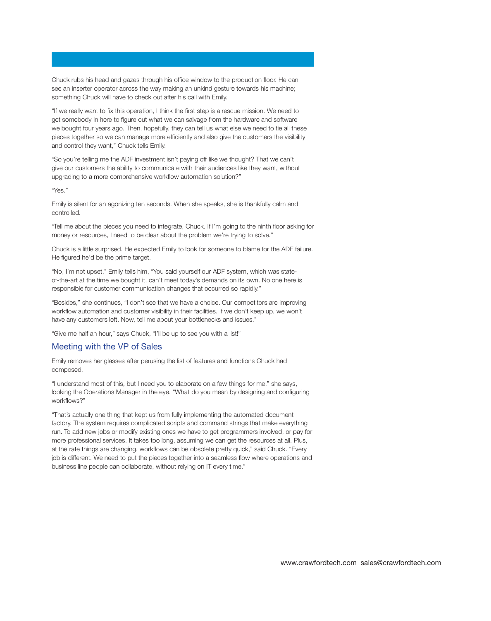**Chuck rubs his head and gazes through his office window to the production floor. He can see an inserter operator across the way making an unkind gesture towards his machine; something Chuck will have to check out after his call with Emily.** 

**"If we really want to fix this operation, I think the first step is a rescue mission. We need to get somebody in here to figure out what we can salvage from the hardware and software we bought four years ago. Then, hopefully, they can tell us what else we need to tie all these pieces together so we can manage more efficiently and also give the customers the visibility and control they want," Chuck tells Emily.** 

**"So you're telling me the ADF investment isn't paying off like we thought? That we can't give our customers the ability to communicate with their audiences like they want, without upgrading to a more comprehensive workflow automation solution?"** 

**"Yes."** 

**Emily is silent for an agonizing ten seconds. When she speaks, she is thankfully calm and controlled.** 

**"Tell me about the pieces you need to integrate, Chuck. If I'm going to the ninth floor asking for money or resources, I need to be clear about the problem we're trying to solve."** 

**Chuck is a little surprised. He expected Emily to look for someone to blame for the ADF failure. He figured he'd be the prime target.** 

**"No, I'm not upset," Emily tells him, "You said yourself our ADF system, which was stateof-the-art at the time we bought it, can't meet today's demands on its own. No one here is responsible for customer communication changes that occurred so rapidly."** 

**"Besides," she continues, "I don't see that we have a choice. Our competitors are improving workflow automation and customer visibility in their facilities. If we don't keep up, we won't have any customers left. Now, tell me about your bottlenecks and issues."** 

**"Give me half an hour," says Chuck, "I'll be up to see you with a list!"** 

#### **Meeting with the VP of Sales**

**Emily removes her glasses after perusing the list of features and functions Chuck had composed.** 

**"I understand most of this, but I need you to elaborate on a few things for me," she says, looking the Operations Manager in the eye. "What do you mean by designing and configuring workflows?"** 

**"That's actually one thing that kept us from fully implementing the automated document factory. The system requires complicated scripts and command strings that make everything run. To add new jobs or modify existing ones we have to get programmers involved, or pay for more professional services. It takes too long, assuming we can get the resources at all. Plus, at the rate things are changing, workflows can be obsolete pretty quick," said Chuck. "Every job is different. We need to put the pieces together into a seamless flow where operations and business line people can collaborate, without relying on IT every time."**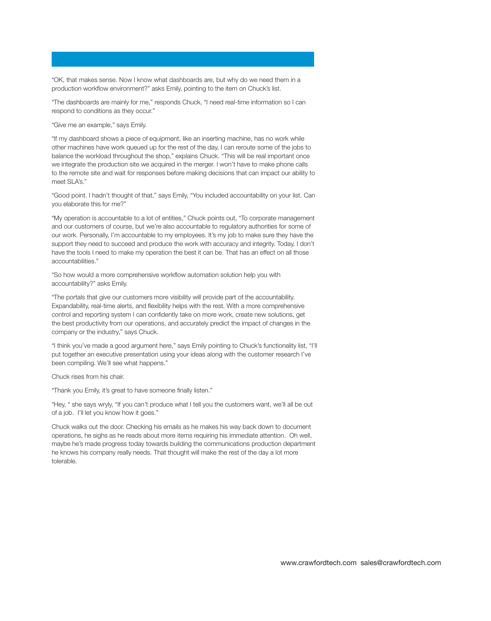**"OK, that makes sense. Now I know what dashboards are, but why do we need them in a production workflow environment?" asks Emily, pointing to the item on Chuck's list.** 

**"The dashboards are mainly for me," responds Chuck, "I need real-time information so I can respond to conditions as they occur."** 

**"Give me an example," says Emily.** 

**"If my dashboard shows a piece of equipment, like an inserting machine, has no work while other machines have work queued up for the rest of the day, I can reroute some of the jobs to balance the workload throughout the shop," explains Chuck. "This will be real important once we integrate the production site we acquired in the merger. I won't have to make phone calls to the remote site and wait for responses before making decisions that can impact our ability to meet SLA's."** 

**"Good point. I hadn't thought of that," says Emily, "You included accountability on your list. Can you elaborate this for me?"** 

**"My operation is accountable to a lot of entities," Chuck points out, "To corporate management and our customers of course, but we're also accountable to regulatory authorities for some of our work. Personally, I'm accountable to my employees. It's my job to make sure they have the support they need to succeed and produce the work with accuracy and integrity. Today, I don't have the tools I need to make my operation the best it can be. That has an effect on all those accountabilities."** 

**"So how would a more comprehensive workflow automation solution help you with accountability?" asks Emily.** 

**"The portals that give our customers more visibility will provide part of the accountability. Expandability, real-time alerts, and flexibility helps with the rest. With a more comprehensive control and reporting system I can confidently take on more work, create new solutions, get the best productivity from our operations, and accurately predict the impact of changes in the company or the industry," says Chuck.** 

**"I think you've made a good argument here," says Emily pointing to Chuck's functionality list, "I'll put together an executive presentation using your ideas along with the customer research I've been compiling. We'll see what happens."** 

**Chuck rises from his chair.** 

**"Thank you Emily, it's great to have someone finally listen."** 

**"Hey, " she says wryly, "If you can't produce what I tell you the customers want, we'll all be out of a job. I'll let you know how it goes."** 

**Chuck walks out the door. Checking his emails as he makes his way back down to document operations, he sighs as he reads about more items requiring his immediate attention. Oh well, maybe he's made progress today towards building the communications production department he knows his company really needs. That thought will make the rest of the day a lot more tolerable.**